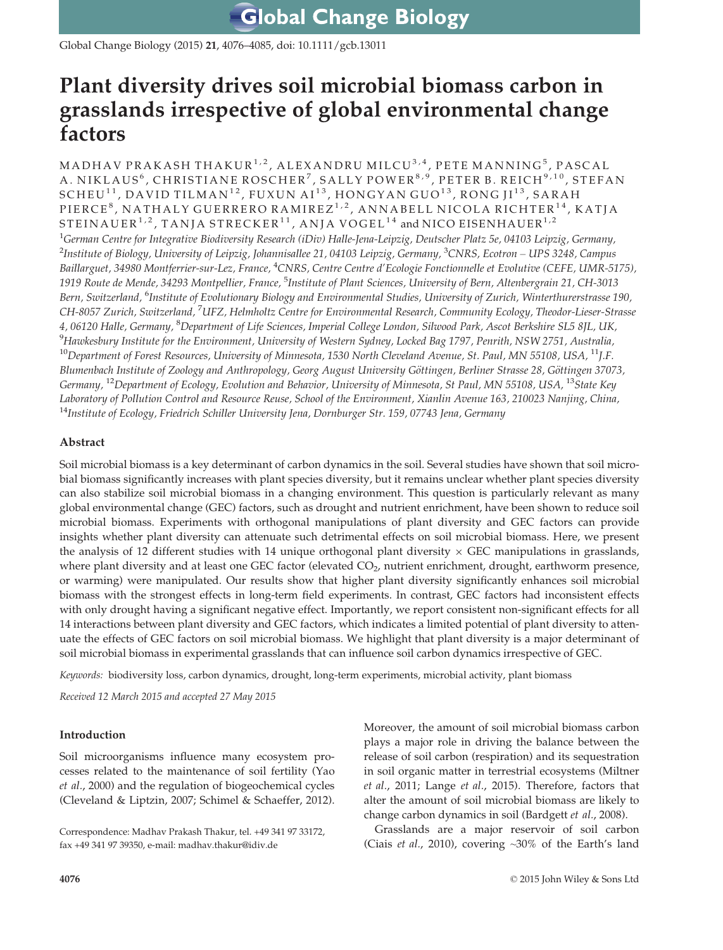**Global Change Biology** 

Global Change Biology (2015) 21, 4076–4085, doi: 10.1111/gcb.13011

## Plant diversity drives soil microbial biomass carbon in grasslands irrespective of global environmental change factors

MADHAV PRAKASH THAKUR $1/2$ , ALEXANDRU MILCU $3/4$ , PETE MANNING<sup>5</sup>, PASCAL A. NIKLAUS<sup>6</sup>, CHRISTIANE ROSCHER<sup>7</sup>, SALLY POWER<sup>8,9</sup>, PETER B. REICH<sup>9,10</sup>, STEFAN SCHEU<sup>11</sup>, DAVID TILMAN<sup>12</sup>, FUXUN AI<sup>13</sup>, HONGYAN GUO<sup>13</sup>, RONG JI<sup>13</sup>, SARAH PIERCE<sup>8</sup>, NATHALY GUERRERO RAMIREZ<sup>1,2</sup>, ANNABELL NICOLA RICHTER<sup>14</sup>, KATJA STEINAUER<sup>1,2</sup>, TANJA STRECKER<sup>11</sup>, ANJA VOGEL<sup>14</sup> and NICO EISENHAUER<sup>1,2</sup>  $^1$ German Centre for Integrative Biodiversity Research (iDiv) Halle-Jena-Leipzig, Deutscher Platz 5e, 04103 Leipzig, Germany,  $^2$ Institute of Biology, University of Leipzig, Johannisallee 21, 04103 Leipzig, Germany,  $^3$ CNRS, Ecotron – UPS 3248, Campus Baillarguet, 34980 Montferrier-sur-Lez, France, <sup>4</sup>CNRS, Centre Centre d'Ecologie Fonctionnelle et Evolutive (CEFE, UMR-5175), 1919 Route de Mende, 34293 Montpellier, France, <sup>5</sup>Institute of Plant Sciences, University of Bern, Altenbergrain 21, CH-3013 Bern, Switzerland, <sup>6</sup>Institute of Evolutionary Biology and Environmental Studies, University of Zurich, Winterthurerstrasse 190, CH-8057 Zurich, Switzerland, <sup>7</sup>UFZ, Helmholtz Centre for Environmental Research, Community Ecology, Theodor-Lieser-Strasse 4, 06120 Halle, Germany, <sup>8</sup>Department of Life Sciences, Imperial College London, Silwood Park, Ascot Berkshire SL5 8JL, UK,  $^9$ Hawkesbury Institute for the Environment, University of Western Sydney, Locked Bag 1797, Penrith, NSW 2751, Australia,  $^{10}$ Department of Forest Resources, University of Minnesota, 1530 North Cleveland Avenue, St. Paul, MN 55108, USA,  $^{11}$ J.F. Blumenbach Institute of Zoology and Anthropology, Georg August University Göttingen, Berliner Strasse 28, Göttingen 37073, Germany, <sup>12</sup>Department of Ecology, Evolution and Behavior, University of Minnesota, St Paul, MN 55108, USA, <sup>13</sup>State Key Laboratory of Pollution Control and Resource Reuse, School of the Environment, Xianlin Avenue 163, 210023 Nanjing, China, <sup>14</sup>Institute of Ecology, Friedrich Schiller University Jena, Dornburger Str. 159, 07743 Jena, Germany

#### Abstract

Soil microbial biomass is a key determinant of carbon dynamics in the soil. Several studies have shown that soil microbial biomass significantly increases with plant species diversity, but it remains unclear whether plant species diversity can also stabilize soil microbial biomass in a changing environment. This question is particularly relevant as many global environmental change (GEC) factors, such as drought and nutrient enrichment, have been shown to reduce soil microbial biomass. Experiments with orthogonal manipulations of plant diversity and GEC factors can provide insights whether plant diversity can attenuate such detrimental effects on soil microbial biomass. Here, we present the analysis of 12 different studies with 14 unique orthogonal plant diversity  $\times$  GEC manipulations in grasslands, where plant diversity and at least one GEC factor (elevated  $CO<sub>2</sub>$ , nutrient enrichment, drought, earthworm presence, or warming) were manipulated. Our results show that higher plant diversity significantly enhances soil microbial biomass with the strongest effects in long-term field experiments. In contrast, GEC factors had inconsistent effects with only drought having a significant negative effect. Importantly, we report consistent non-significant effects for all 14 interactions between plant diversity and GEC factors, which indicates a limited potential of plant diversity to attenuate the effects of GEC factors on soil microbial biomass. We highlight that plant diversity is a major determinant of soil microbial biomass in experimental grasslands that can influence soil carbon dynamics irrespective of GEC.

Keywords: biodiversity loss, carbon dynamics, drought, long-term experiments, microbial activity, plant biomass

Received 12 March 2015 and accepted 27 May 2015

#### Introduction

Soil microorganisms influence many ecosystem processes related to the maintenance of soil fertility (Yao et al., 2000) and the regulation of biogeochemical cycles (Cleveland & Liptzin, 2007; Schimel & Schaeffer, 2012). Moreover, the amount of soil microbial biomass carbon plays a major role in driving the balance between the release of soil carbon (respiration) and its sequestration in soil organic matter in terrestrial ecosystems (Miltner et al., 2011; Lange et al., 2015). Therefore, factors that alter the amount of soil microbial biomass are likely to change carbon dynamics in soil (Bardgett et al., 2008).

Grasslands are a major reservoir of soil carbon (Ciais et al., 2010), covering ~30% of the Earth's land

Correspondence: Madhav Prakash Thakur, tel. +49 341 97 33172, fax +49 341 97 39350, e-mail: madhav.thakur@idiv.de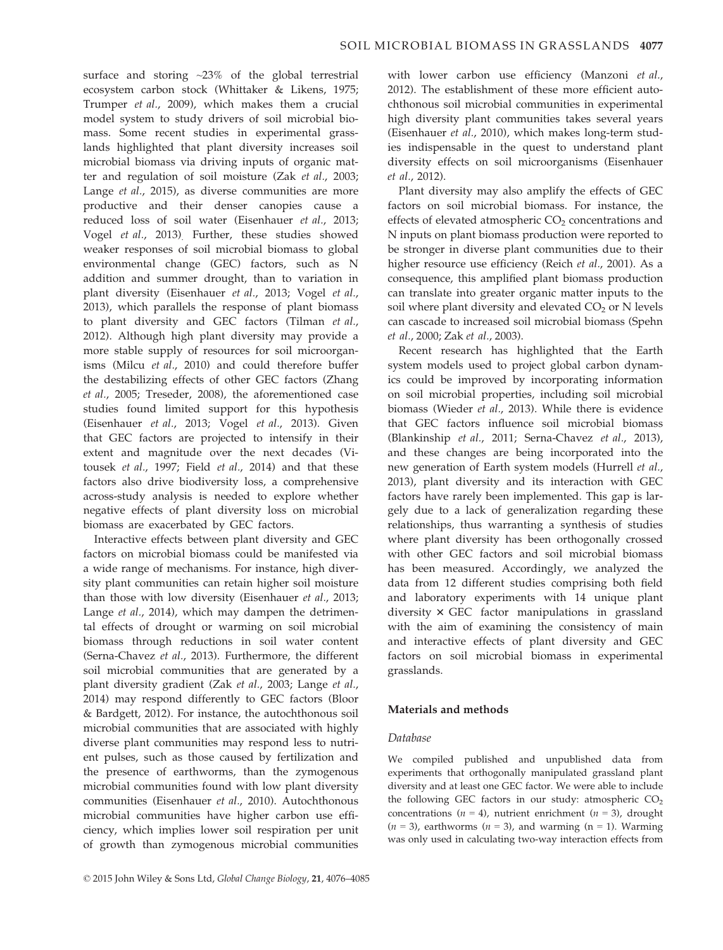surface and storing ~23% of the global terrestrial ecosystem carbon stock (Whittaker & Likens, 1975; Trumper et al., 2009), which makes them a crucial model system to study drivers of soil microbial biomass. Some recent studies in experimental grasslands highlighted that plant diversity increases soil microbial biomass via driving inputs of organic matter and regulation of soil moisture (Zak et al., 2003; Lange et al., 2015), as diverse communities are more productive and their denser canopies cause a reduced loss of soil water (Eisenhauer et al., 2013; Vogel et al., 2013). Further, these studies showed weaker responses of soil microbial biomass to global environmental change (GEC) factors, such as N addition and summer drought, than to variation in plant diversity (Eisenhauer et al., 2013; Vogel et al., 2013), which parallels the response of plant biomass to plant diversity and GEC factors (Tilman et al., 2012). Although high plant diversity may provide a more stable supply of resources for soil microorganisms (Milcu et al., 2010) and could therefore buffer the destabilizing effects of other GEC factors (Zhang et al., 2005; Treseder, 2008), the aforementioned case studies found limited support for this hypothesis (Eisenhauer et al., 2013; Vogel et al., 2013). Given that GEC factors are projected to intensify in their extent and magnitude over the next decades (Vitousek et al., 1997; Field et al., 2014) and that these factors also drive biodiversity loss, a comprehensive across-study analysis is needed to explore whether negative effects of plant diversity loss on microbial biomass are exacerbated by GEC factors.

Interactive effects between plant diversity and GEC factors on microbial biomass could be manifested via a wide range of mechanisms. For instance, high diversity plant communities can retain higher soil moisture than those with low diversity (Eisenhauer et al., 2013; Lange et al., 2014), which may dampen the detrimental effects of drought or warming on soil microbial biomass through reductions in soil water content (Serna-Chavez et al., 2013). Furthermore, the different soil microbial communities that are generated by a plant diversity gradient (Zak et al., 2003; Lange et al., 2014) may respond differently to GEC factors (Bloor & Bardgett, 2012). For instance, the autochthonous soil microbial communities that are associated with highly diverse plant communities may respond less to nutrient pulses, such as those caused by fertilization and the presence of earthworms, than the zymogenous microbial communities found with low plant diversity communities (Eisenhauer et al., 2010). Autochthonous microbial communities have higher carbon use efficiency, which implies lower soil respiration per unit of growth than zymogenous microbial communities

with lower carbon use efficiency (Manzoni et al., 2012). The establishment of these more efficient autochthonous soil microbial communities in experimental high diversity plant communities takes several years (Eisenhauer et al., 2010), which makes long-term studies indispensable in the quest to understand plant diversity effects on soil microorganisms (Eisenhauer et al., 2012).

Plant diversity may also amplify the effects of GEC factors on soil microbial biomass. For instance, the effects of elevated atmospheric  $CO<sub>2</sub>$  concentrations and N inputs on plant biomass production were reported to be stronger in diverse plant communities due to their higher resource use efficiency (Reich et al., 2001). As a consequence, this amplified plant biomass production can translate into greater organic matter inputs to the soil where plant diversity and elevated  $CO<sub>2</sub>$  or N levels can cascade to increased soil microbial biomass (Spehn et al., 2000; Zak et al., 2003).

Recent research has highlighted that the Earth system models used to project global carbon dynamics could be improved by incorporating information on soil microbial properties, including soil microbial biomass (Wieder et al., 2013). While there is evidence that GEC factors influence soil microbial biomass (Blankinship et al., 2011; Serna-Chavez et al., 2013), and these changes are being incorporated into the new generation of Earth system models (Hurrell et al., 2013), plant diversity and its interaction with GEC factors have rarely been implemented. This gap is largely due to a lack of generalization regarding these relationships, thus warranting a synthesis of studies where plant diversity has been orthogonally crossed with other GEC factors and soil microbial biomass has been measured. Accordingly, we analyzed the data from 12 different studies comprising both field and laboratory experiments with 14 unique plant diversity  $\times$  GEC factor manipulations in grassland with the aim of examining the consistency of main and interactive effects of plant diversity and GEC factors on soil microbial biomass in experimental grasslands.

#### Materials and methods

#### Database

We compiled published and unpublished data from experiments that orthogonally manipulated grassland plant diversity and at least one GEC factor. We were able to include the following GEC factors in our study: atmospheric  $CO<sub>2</sub>$ concentrations ( $n = 4$ ), nutrient enrichment ( $n = 3$ ), drought  $(n = 3)$ , earthworms  $(n = 3)$ , and warming  $(n = 1)$ . Warming was only used in calculating two-way interaction effects from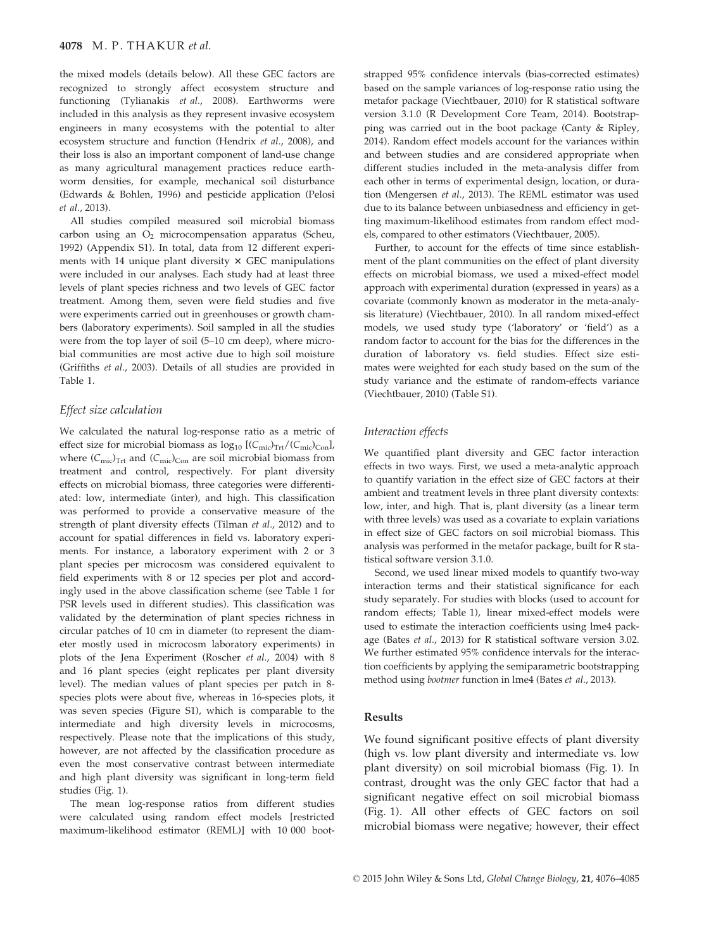the mixed models (details below). All these GEC factors are recognized to strongly affect ecosystem structure and functioning (Tylianakis et al., 2008). Earthworms were included in this analysis as they represent invasive ecosystem engineers in many ecosystems with the potential to alter ecosystem structure and function (Hendrix et al., 2008), and their loss is also an important component of land-use change as many agricultural management practices reduce earthworm densities, for example, mechanical soil disturbance (Edwards & Bohlen, 1996) and pesticide application (Pelosi et al., 2013).

All studies compiled measured soil microbial biomass carbon using an  $O<sub>2</sub>$  microcompensation apparatus (Scheu, 1992) (Appendix S1). In total, data from 12 different experiments with 14 unique plant diversity  $\times$  GEC manipulations were included in our analyses. Each study had at least three levels of plant species richness and two levels of GEC factor treatment. Among them, seven were field studies and five were experiments carried out in greenhouses or growth chambers (laboratory experiments). Soil sampled in all the studies were from the top layer of soil (5–10 cm deep), where microbial communities are most active due to high soil moisture (Griffiths et al., 2003). Details of all studies are provided in Table 1.

#### Effect size calculation

We calculated the natural log-response ratio as a metric of effect size for microbial biomass as  $log_{10}$  [( $C_{\text{mic}}/T_{\text{rrt}}$ /( $C_{\text{mic}}/C_{\text{on}}$ ], where  $(C_{\text{mic}})_{\text{Trt}}$  and  $(C_{\text{mic}})_{\text{Con}}$  are soil microbial biomass from treatment and control, respectively. For plant diversity effects on microbial biomass, three categories were differentiated: low, intermediate (inter), and high. This classification was performed to provide a conservative measure of the strength of plant diversity effects (Tilman et al., 2012) and to account for spatial differences in field vs. laboratory experiments. For instance, a laboratory experiment with 2 or 3 plant species per microcosm was considered equivalent to field experiments with 8 or 12 species per plot and accordingly used in the above classification scheme (see Table 1 for PSR levels used in different studies). This classification was validated by the determination of plant species richness in circular patches of 10 cm in diameter (to represent the diameter mostly used in microcosm laboratory experiments) in plots of the Jena Experiment (Roscher et al., 2004) with 8 and 16 plant species (eight replicates per plant diversity level). The median values of plant species per patch in 8 species plots were about five, whereas in 16-species plots, it was seven species (Figure S1), which is comparable to the intermediate and high diversity levels in microcosms, respectively. Please note that the implications of this study, however, are not affected by the classification procedure as even the most conservative contrast between intermediate and high plant diversity was significant in long-term field studies (Fig. 1).

The mean log-response ratios from different studies were calculated using random effect models [restricted maximum-likelihood estimator (REML)] with 10 000 bootstrapped 95% confidence intervals (bias-corrected estimates) based on the sample variances of log-response ratio using the metafor package (Viechtbauer, 2010) for R statistical software version 3.1.0 (R Development Core Team, 2014). Bootstrapping was carried out in the boot package (Canty & Ripley, 2014). Random effect models account for the variances within and between studies and are considered appropriate when different studies included in the meta-analysis differ from each other in terms of experimental design, location, or duration (Mengersen et al., 2013). The REML estimator was used due to its balance between unbiasedness and efficiency in getting maximum-likelihood estimates from random effect models, compared to other estimators (Viechtbauer, 2005).

Further, to account for the effects of time since establishment of the plant communities on the effect of plant diversity effects on microbial biomass, we used a mixed-effect model approach with experimental duration (expressed in years) as a covariate (commonly known as moderator in the meta-analysis literature) (Viechtbauer, 2010). In all random mixed-effect models, we used study type ('laboratory' or 'field') as a random factor to account for the bias for the differences in the duration of laboratory vs. field studies. Effect size estimates were weighted for each study based on the sum of the study variance and the estimate of random-effects variance (Viechtbauer, 2010) (Table S1).

#### Interaction effects

We quantified plant diversity and GEC factor interaction effects in two ways. First, we used a meta-analytic approach to quantify variation in the effect size of GEC factors at their ambient and treatment levels in three plant diversity contexts: low, inter, and high. That is, plant diversity (as a linear term with three levels) was used as a covariate to explain variations in effect size of GEC factors on soil microbial biomass. This analysis was performed in the metafor package, built for R statistical software version 3.1.0.

Second, we used linear mixed models to quantify two-way interaction terms and their statistical significance for each study separately. For studies with blocks (used to account for random effects; Table 1), linear mixed-effect models were used to estimate the interaction coefficients using lme4 package (Bates et al., 2013) for R statistical software version 3.02. We further estimated 95% confidence intervals for the interaction coefficients by applying the semiparametric bootstrapping method using bootmer function in lme4 (Bates et al., 2013).

#### Results

We found significant positive effects of plant diversity (high vs. low plant diversity and intermediate vs. low plant diversity) on soil microbial biomass (Fig. 1). In contrast, drought was the only GEC factor that had a significant negative effect on soil microbial biomass (Fig. 1). All other effects of GEC factors on soil microbial biomass were negative; however, their effect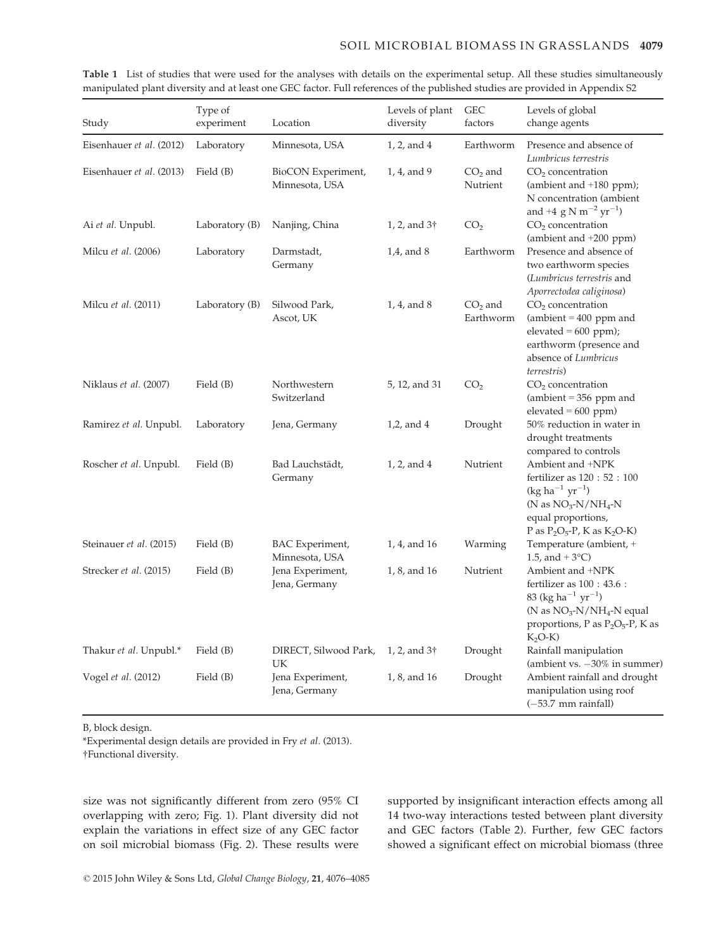| Study                    | Type of<br>experiment | Location                             | Levels of plant<br>diversity | <b>GEC</b><br>factors  | Levels of global<br>change agents                                                                                                                                          |
|--------------------------|-----------------------|--------------------------------------|------------------------------|------------------------|----------------------------------------------------------------------------------------------------------------------------------------------------------------------------|
| Eisenhauer et al. (2012) | Laboratory            | Minnesota, USA                       | 1, 2, and 4                  | Earthworm              | Presence and absence of<br>Lumbricus terrestris                                                                                                                            |
| Eisenhauer et al. (2013) | Field (B)             | BioCON Experiment,<br>Minnesota, USA | 1, 4, and 9                  | $CO2$ and<br>Nutrient  | $CO2$ concentration<br>(ambient and $+180$ ppm);<br>N concentration (ambient<br>and +4 g N m <sup>-2</sup> yr <sup>-1</sup> )                                              |
| Ai et al. Unpubl.        | Laboratory (B)        | Nanjing, China                       | 1, 2, and $3\dagger$         | CO <sub>2</sub>        | CO <sub>2</sub> concentration<br>(ambient and $+200$ ppm)                                                                                                                  |
| Milcu et al. (2006)      | Laboratory            | Darmstadt,<br>Germany                | $1,4$ , and $8$              | Earthworm              | Presence and absence of<br>two earthworm species<br>(Lumbricus terrestris and<br>Aporrectodea caliginosa)                                                                  |
| Milcu et al. (2011)      | Laboratory (B)        | Silwood Park,<br>Ascot, UK           | 1, 4, and 8                  | $CO2$ and<br>Earthworm | CO <sub>2</sub> concentration<br>$(ambient = 400 ppm and)$<br>$elevated = 600 ppm);$<br>earthworm (presence and<br>absence of Lumbricus<br>terrestris)                     |
| Niklaus et al. (2007)    | Field (B)             | Northwestern<br>Switzerland          | 5, 12, and 31                | CO <sub>2</sub>        | $CO2$ concentration<br>$(ambient = 356 ppm and)$<br>$elevated = 600 ppm)$                                                                                                  |
| Ramirez et al. Unpubl.   | Laboratory            | Jena, Germany                        | $1,2$ , and $4$              | Drought                | 50% reduction in water in<br>drought treatments<br>compared to controls                                                                                                    |
| Roscher et al. Unpubl.   | Field (B)             | Bad Lauchstädt,<br>Germany           | 1, 2, and 4                  | Nutrient               | Ambient and +NPK<br>fertilizer as 120: 52: 100<br>$(kg ha^{-1} yr^{-1})$<br>(N as $NO3-N/NH4-N$<br>equal proportions,<br>P as $P_2O_5-P$ , K as $K_2O-K$ )                 |
| Steinauer et al. (2015)  | Field (B)             | BAC Experiment,<br>Minnesota, USA    | 1, 4, and 16                 | Warming                | Temperature (ambient, +<br>1.5, and $+3$ °C)                                                                                                                               |
| Strecker et al. (2015)   | Field (B)             | Jena Experiment,<br>Jena, Germany    | 1, 8, and 16                 | Nutrient               | Ambient and +NPK<br>fertilizer as $100:43.6:$<br>83 (kg ha <sup>-1</sup> yr <sup>-1</sup> )<br>(N as $NO3-N/NH4-N$ equal<br>proportions, P as $P_2O_5-P$ , K as<br>$K2O-K$ |
| Thakur et al. Unpubl.*   | Field (B)             | DIRECT, Silwood Park,<br>UK          | 1, 2, and $3\dagger$         | Drought                | Rainfall manipulation<br>(ambient vs. $-30\%$ in summer)                                                                                                                   |
| Vogel et al. (2012)      | Field (B)             | Jena Experiment,<br>Jena, Germany    | 1, 8, and 16                 | Drought                | Ambient rainfall and drought<br>manipulation using roof<br>$(-53.7$ mm rainfall)                                                                                           |

Table 1 List of studies that were used for the analyses with details on the experimental setup. All these studies simultaneously manipulated plant diversity and at least one GEC factor. Full references of the published studies are provided in Appendix S2

B, block design.

\*Experimental design details are provided in Fry et al. (2013). †Functional diversity.

size was not significantly different from zero (95% CI overlapping with zero; Fig. 1). Plant diversity did not explain the variations in effect size of any GEC factor on soil microbial biomass (Fig. 2). These results were

supported by insignificant interaction effects among all 14 two-way interactions tested between plant diversity and GEC factors (Table 2). Further, few GEC factors showed a significant effect on microbial biomass (three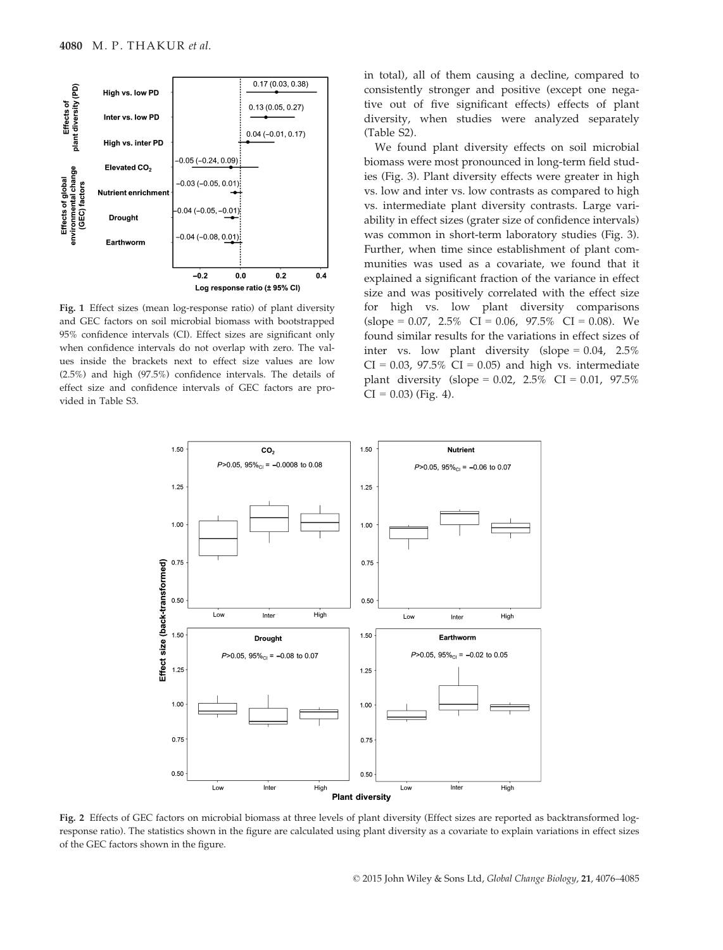

Fig. 1 Effect sizes (mean log-response ratio) of plant diversity and GEC factors on soil microbial biomass with bootstrapped 95% confidence intervals (CI). Effect sizes are significant only when confidence intervals do not overlap with zero. The values inside the brackets next to effect size values are low (2.5%) and high (97.5%) confidence intervals. The details of effect size and confidence intervals of GEC factors are provided in Table S3.

in total), all of them causing a decline, compared to consistently stronger and positive (except one negative out of five significant effects) effects of plant diversity, when studies were analyzed separately (Table S2).

We found plant diversity effects on soil microbial biomass were most pronounced in long-term field studies (Fig. 3). Plant diversity effects were greater in high vs. low and inter vs. low contrasts as compared to high vs. intermediate plant diversity contrasts. Large variability in effect sizes (grater size of confidence intervals) was common in short-term laboratory studies (Fig. 3). Further, when time since establishment of plant communities was used as a covariate, we found that it explained a significant fraction of the variance in effect size and was positively correlated with the effect size for high vs. low plant diversity comparisons  $(slope = 0.07, 2.5\% \text{ CI} = 0.06, 97.5\% \text{ CI} = 0.08)$ . We found similar results for the variations in effect sizes of inter vs. low plant diversity (slope = 0.04, 2.5%  $CI = 0.03$ , 97.5%  $CI = 0.05$ ) and high vs. intermediate plant diversity (slope =  $0.02$ ,  $2.5\%$  CI =  $0.01$ ,  $97.5\%$  $CI = 0.03$  (Fig. 4).



Fig. 2 Effects of GEC factors on microbial biomass at three levels of plant diversity (Effect sizes are reported as backtransformed logresponse ratio). The statistics shown in the figure are calculated using plant diversity as a covariate to explain variations in effect sizes of the GEC factors shown in the figure.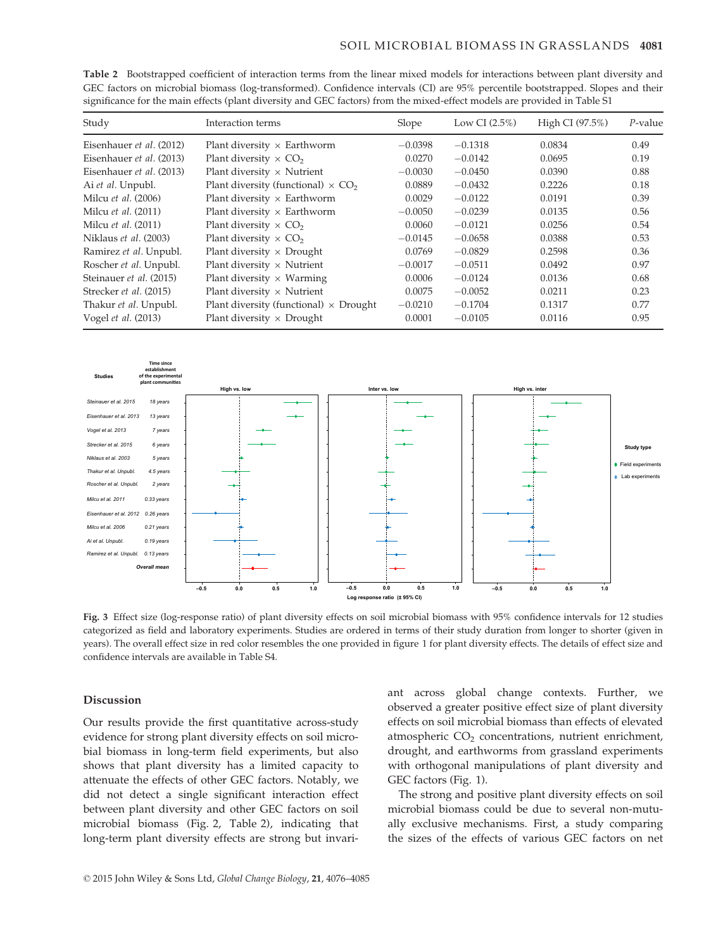| Study                      | Interaction terms                                     | Slope     | Low CI $(2.5\%)$ | High CI (97.5%) | $P$ -value |
|----------------------------|-------------------------------------------------------|-----------|------------------|-----------------|------------|
| Eisenhauer et al. (2012)   | Plant diversity $\times$ Earthworm                    | $-0.0398$ | $-0.1318$        | 0.0834          | 0.49       |
| Eisenhauer et al. (2013)   | Plant diversity $\times$ CO <sub>2</sub>              | 0.0270    | $-0.0142$        | 0.0695          | 0.19       |
| Eisenhauer et al. (2013)   | Plant diversity $\times$ Nutrient                     | $-0.0030$ | $-0.0450$        | 0.0390          | 0.88       |
| Ai et al. Unpubl.          | Plant diversity (functional) $\times$ CO <sub>2</sub> | 0.0889    | $-0.0432$        | 0.2226          | 0.18       |
| Milcu et al. (2006)        | Plant diversity $\times$ Earthworm                    | 0.0029    | $-0.0122$        | 0.0191          | 0.39       |
| Milcu <i>et al.</i> (2011) | Plant diversity $\times$ Earthworm                    | $-0.0050$ | $-0.0239$        | 0.0135          | 0.56       |
| Milcu et al. (2011)        | Plant diversity $\times$ CO <sub>2</sub>              | 0.0060    | $-0.0121$        | 0.0256          | 0.54       |
| Niklaus et al. (2003)      | Plant diversity $\times$ CO <sub>2</sub>              | $-0.0145$ | $-0.0658$        | 0.0388          | 0.53       |
| Ramirez et al. Unpubl.     | Plant diversity $\times$ Drought                      | 0.0769    | $-0.0829$        | 0.2598          | 0.36       |
| Roscher et al. Unpubl.     | Plant diversity $\times$ Nutrient                     | $-0.0017$ | $-0.0511$        | 0.0492          | 0.97       |
| Steinauer et al. (2015)    | Plant diversity $\times$ Warming                      | 0.0006    | $-0.0124$        | 0.0136          | 0.68       |
| Strecker et al. (2015)     | Plant diversity $\times$ Nutrient                     | 0.0075    | $-0.0052$        | 0.0211          | 0.23       |
| Thakur et al. Unpubl.      | Plant diversity (functional) $\times$ Drought         | $-0.0210$ | $-0.1704$        | 0.1317          | 0.77       |
| Vogel et al. (2013)        | Plant diversity $\times$ Drought                      | 0.0001    | $-0.0105$        | 0.0116          | 0.95       |

Table 2 Bootstrapped coefficient of interaction terms from the linear mixed models for interactions between plant diversity and GEC factors on microbial biomass (log-transformed). Confidence intervals (CI) are 95% percentile bootstrapped. Slopes and their significance for the main effects (plant diversity and GEC factors) from the mixed-effect models are provided in Table S1



Fig. 3 Effect size (log-response ratio) of plant diversity effects on soil microbial biomass with 95% confidence intervals for 12 studies categorized as field and laboratory experiments. Studies are ordered in terms of their study duration from longer to shorter (given in years). The overall effect size in red color resembles the one provided in figure 1 for plant diversity effects. The details of effect size and confidence intervals are available in Table S4.

#### Discussion

Our results provide the first quantitative across-study evidence for strong plant diversity effects on soil microbial biomass in long-term field experiments, but also shows that plant diversity has a limited capacity to attenuate the effects of other GEC factors. Notably, we did not detect a single significant interaction effect between plant diversity and other GEC factors on soil microbial biomass (Fig. 2, Table 2), indicating that long-term plant diversity effects are strong but invari-

ant across global change contexts. Further, we observed a greater positive effect size of plant diversity effects on soil microbial biomass than effects of elevated atmospheric CO<sub>2</sub> concentrations, nutrient enrichment, drought, and earthworms from grassland experiments with orthogonal manipulations of plant diversity and GEC factors (Fig. 1).

The strong and positive plant diversity effects on soil microbial biomass could be due to several non-mutually exclusive mechanisms. First, a study comparing the sizes of the effects of various GEC factors on net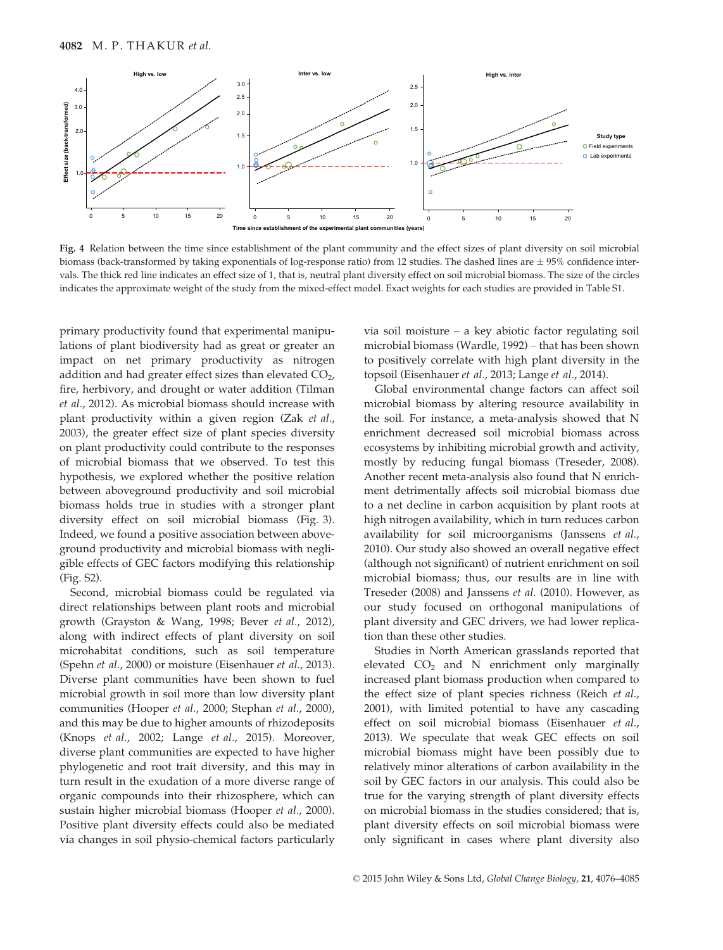

Fig. 4 Relation between the time since establishment of the plant community and the effect sizes of plant diversity on soil microbial biomass (back-transformed by taking exponentials of log-response ratio) from 12 studies. The dashed lines are  $\pm$  95% confidence intervals. The thick red line indicates an effect size of 1, that is, neutral plant diversity effect on soil microbial biomass. The size of the circles indicates the approximate weight of the study from the mixed-effect model. Exact weights for each studies are provided in Table S1.

primary productivity found that experimental manipulations of plant biodiversity had as great or greater an impact on net primary productivity as nitrogen addition and had greater effect sizes than elevated  $CO<sub>2</sub>$ , fire, herbivory, and drought or water addition (Tilman et al., 2012). As microbial biomass should increase with plant productivity within a given region (Zak et al., 2003), the greater effect size of plant species diversity on plant productivity could contribute to the responses of microbial biomass that we observed. To test this hypothesis, we explored whether the positive relation between aboveground productivity and soil microbial biomass holds true in studies with a stronger plant diversity effect on soil microbial biomass (Fig. 3). Indeed, we found a positive association between aboveground productivity and microbial biomass with negligible effects of GEC factors modifying this relationship (Fig. S2).

Second, microbial biomass could be regulated via direct relationships between plant roots and microbial growth (Grayston & Wang, 1998; Bever et al., 2012), along with indirect effects of plant diversity on soil microhabitat conditions, such as soil temperature (Spehn et al., 2000) or moisture (Eisenhauer et al., 2013). Diverse plant communities have been shown to fuel microbial growth in soil more than low diversity plant communities (Hooper et al., 2000; Stephan et al., 2000), and this may be due to higher amounts of rhizodeposits (Knops et al., 2002; Lange et al., 2015). Moreover, diverse plant communities are expected to have higher phylogenetic and root trait diversity, and this may in turn result in the exudation of a more diverse range of organic compounds into their rhizosphere, which can sustain higher microbial biomass (Hooper et al., 2000). Positive plant diversity effects could also be mediated via changes in soil physio-chemical factors particularly via soil moisture – a key abiotic factor regulating soil microbial biomass (Wardle, 1992) – that has been shown to positively correlate with high plant diversity in the topsoil (Eisenhauer et al., 2013; Lange et al., 2014).

Global environmental change factors can affect soil microbial biomass by altering resource availability in the soil. For instance, a meta-analysis showed that N enrichment decreased soil microbial biomass across ecosystems by inhibiting microbial growth and activity, mostly by reducing fungal biomass (Treseder, 2008). Another recent meta-analysis also found that N enrichment detrimentally affects soil microbial biomass due to a net decline in carbon acquisition by plant roots at high nitrogen availability, which in turn reduces carbon availability for soil microorganisms (Janssens et al., 2010). Our study also showed an overall negative effect (although not significant) of nutrient enrichment on soil microbial biomass; thus, our results are in line with Treseder (2008) and Janssens et al. (2010). However, as our study focused on orthogonal manipulations of plant diversity and GEC drivers, we had lower replication than these other studies.

Studies in North American grasslands reported that elevated  $CO<sub>2</sub>$  and N enrichment only marginally increased plant biomass production when compared to the effect size of plant species richness (Reich et al., 2001), with limited potential to have any cascading effect on soil microbial biomass (Eisenhauer et al., 2013). We speculate that weak GEC effects on soil microbial biomass might have been possibly due to relatively minor alterations of carbon availability in the soil by GEC factors in our analysis. This could also be true for the varying strength of plant diversity effects on microbial biomass in the studies considered; that is, plant diversity effects on soil microbial biomass were only significant in cases where plant diversity also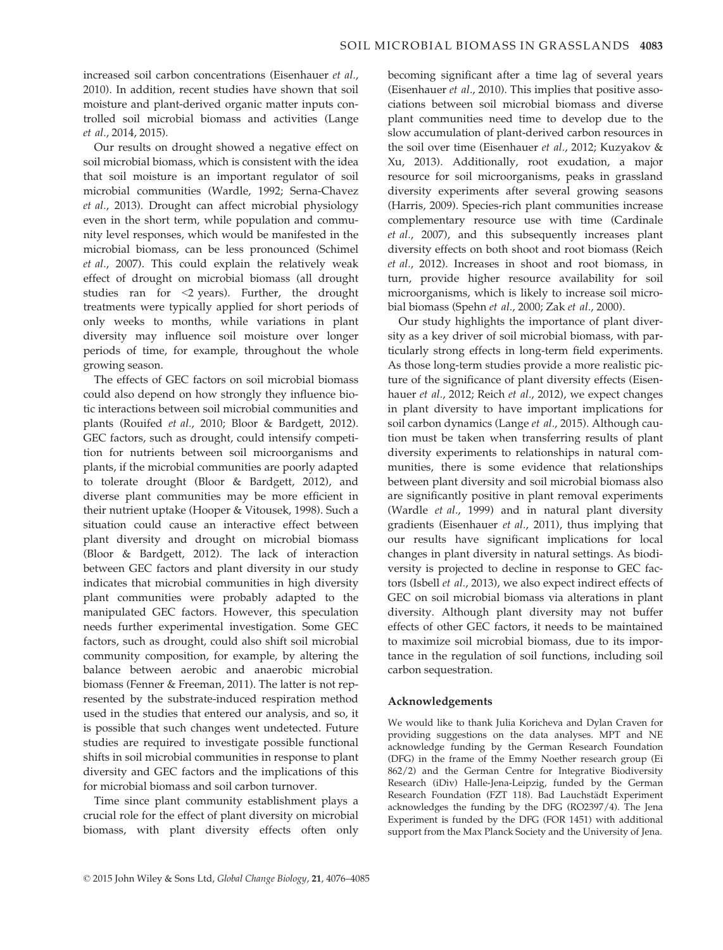increased soil carbon concentrations (Eisenhauer et al., 2010). In addition, recent studies have shown that soil moisture and plant-derived organic matter inputs controlled soil microbial biomass and activities (Lange et al., 2014, 2015).

Our results on drought showed a negative effect on soil microbial biomass, which is consistent with the idea that soil moisture is an important regulator of soil microbial communities (Wardle, 1992; Serna-Chavez et al., 2013). Drought can affect microbial physiology even in the short term, while population and community level responses, which would be manifested in the microbial biomass, can be less pronounced (Schimel et al., 2007). This could explain the relatively weak effect of drought on microbial biomass (all drought studies ran for <2 years). Further, the drought treatments were typically applied for short periods of only weeks to months, while variations in plant diversity may influence soil moisture over longer periods of time, for example, throughout the whole growing season.

The effects of GEC factors on soil microbial biomass could also depend on how strongly they influence biotic interactions between soil microbial communities and plants (Rouifed et al., 2010; Bloor & Bardgett, 2012). GEC factors, such as drought, could intensify competition for nutrients between soil microorganisms and plants, if the microbial communities are poorly adapted to tolerate drought (Bloor & Bardgett, 2012), and diverse plant communities may be more efficient in their nutrient uptake (Hooper & Vitousek, 1998). Such a situation could cause an interactive effect between plant diversity and drought on microbial biomass (Bloor & Bardgett, 2012). The lack of interaction between GEC factors and plant diversity in our study indicates that microbial communities in high diversity plant communities were probably adapted to the manipulated GEC factors. However, this speculation needs further experimental investigation. Some GEC factors, such as drought, could also shift soil microbial community composition, for example, by altering the balance between aerobic and anaerobic microbial biomass (Fenner & Freeman, 2011). The latter is not represented by the substrate-induced respiration method used in the studies that entered our analysis, and so, it is possible that such changes went undetected. Future studies are required to investigate possible functional shifts in soil microbial communities in response to plant diversity and GEC factors and the implications of this for microbial biomass and soil carbon turnover.

Time since plant community establishment plays a crucial role for the effect of plant diversity on microbial biomass, with plant diversity effects often only becoming significant after a time lag of several years (Eisenhauer et al., 2010). This implies that positive associations between soil microbial biomass and diverse plant communities need time to develop due to the slow accumulation of plant-derived carbon resources in the soil over time (Eisenhauer et al., 2012; Kuzyakov & Xu, 2013). Additionally, root exudation, a major resource for soil microorganisms, peaks in grassland diversity experiments after several growing seasons (Harris, 2009). Species-rich plant communities increase complementary resource use with time (Cardinale et al., 2007), and this subsequently increases plant diversity effects on both shoot and root biomass (Reich et al., 2012). Increases in shoot and root biomass, in turn, provide higher resource availability for soil microorganisms, which is likely to increase soil microbial biomass (Spehn et al., 2000; Zak et al., 2000).

Our study highlights the importance of plant diversity as a key driver of soil microbial biomass, with particularly strong effects in long-term field experiments. As those long-term studies provide a more realistic picture of the significance of plant diversity effects (Eisenhauer et al., 2012; Reich et al., 2012), we expect changes in plant diversity to have important implications for soil carbon dynamics (Lange et al., 2015). Although caution must be taken when transferring results of plant diversity experiments to relationships in natural communities, there is some evidence that relationships between plant diversity and soil microbial biomass also are significantly positive in plant removal experiments (Wardle et al., 1999) and in natural plant diversity gradients (Eisenhauer et al., 2011), thus implying that our results have significant implications for local changes in plant diversity in natural settings. As biodiversity is projected to decline in response to GEC factors (Isbell et al., 2013), we also expect indirect effects of GEC on soil microbial biomass via alterations in plant diversity. Although plant diversity may not buffer effects of other GEC factors, it needs to be maintained to maximize soil microbial biomass, due to its importance in the regulation of soil functions, including soil carbon sequestration.

#### Acknowledgements

We would like to thank Julia Koricheva and Dylan Craven for providing suggestions on the data analyses. MPT and NE acknowledge funding by the German Research Foundation (DFG) in the frame of the Emmy Noether research group (Ei 862/2) and the German Centre for Integrative Biodiversity Research (iDiv) Halle-Jena-Leipzig, funded by the German Research Foundation (FZT 118). Bad Lauchstädt Experiment acknowledges the funding by the DFG (RO2397/4). The Jena Experiment is funded by the DFG (FOR 1451) with additional support from the Max Planck Society and the University of Jena.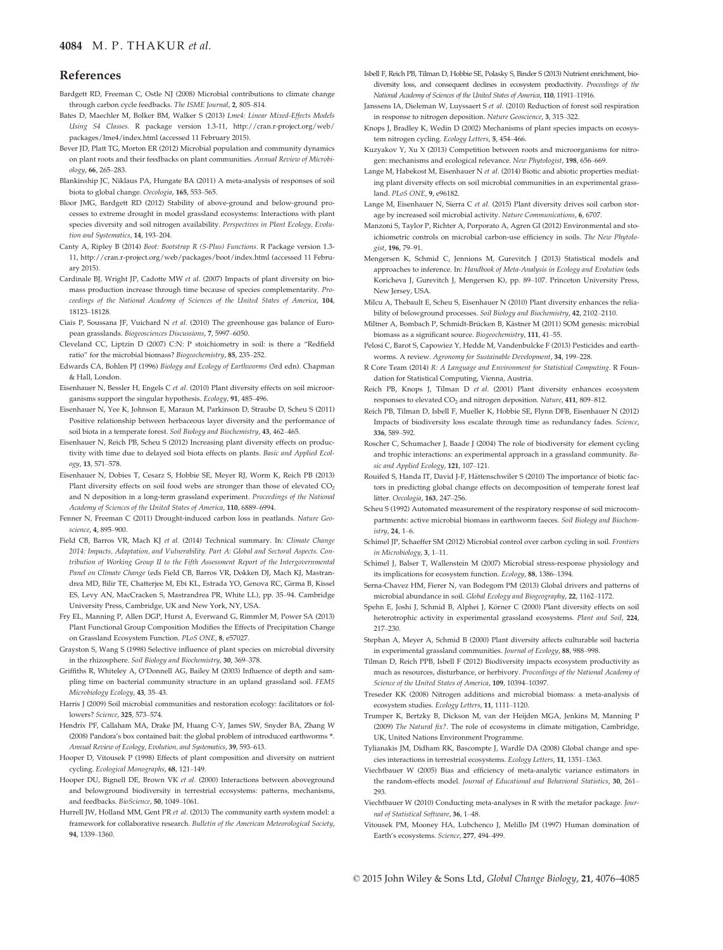#### 4084 M. P. THAKUR et al.

#### References

- Bardgett RD, Freeman C, Ostle NJ (2008) Microbial contributions to climate change through carbon cycle feedbacks. The ISME Journal, 2, 805–814.
- Bates D, Maechler M, Bolker BM, Walker S (2013) Lme4: Linear Mixed-Effects Models Using S4 Classes. R package version 1.3-11, [http://cran.r-project.org/web/](http://cran.r-project.org/web/packages/lme4/index.html) [packages/lme4/index.html](http://cran.r-project.org/web/packages/lme4/index.html) (accessed 11 February 2015).
- Bever JD, Platt TG, Morton ER (2012) Microbial population and community dynamics on plant roots and their feedbacks on plant communities. Annual Review of Microbiology, 66, 265–283.
- Blankinship JC, Niklaus PA, Hungate BA (2011) A meta-analysis of responses of soil biota to global change. Oecologia, 165, 553–565.
- Bloor JMG, Bardgett RD (2012) Stability of above-ground and below-ground processes to extreme drought in model grassland ecosystems: Interactions with plant species diversity and soil nitrogen availability. Perspectives in Plant Ecology, Evolution and Systematics, 14, 193-204.
- Canty A, Ripley B (2014) Boot: Bootstrap R (S-Plus) Functions. R Package version 1.3- 11,<http://cran.r-project.org/web/packages/boot/index.html> (accessed 11 February 2015).
- Cardinale BJ, Wright JP, Cadotte MW et al. (2007) Impacts of plant diversity on biomass production increase through time because of species complementarity. Proceedings of the National Academy of Sciences of the United States of America, 104, 18123–18128.
- Ciais P, Soussana JF, Vuichard N et al. (2010) The greenhouse gas balance of European grasslands. Biogeosciences Discussions, 7, 5997–6050.
- Cleveland CC, Liptzin D (2007) C:N: P stoichiometry in soil: is there a "Redfield ratio" for the microbial biomass? Biogeochemistry, 85, 235–252.
- Edwards CA, Bohlen PJ (1996) Biology and Ecology of Earthworms (3rd edn). Chapman & Hall, London.
- Eisenhauer N, Bessler H, Engels C et al. (2010) Plant diversity effects on soil microorganisms support the singular hypothesis. Ecology, 91, 485–496.
- Eisenhauer N, Yee K, Johnson E, Maraun M, Parkinson D, Straube D, Scheu S (2011) Positive relationship between herbaceous layer diversity and the performance of soil biota in a temperate forest. Soil Biology and Biochemistry, 43, 462–465.
- Eisenhauer N, Reich PB, Scheu S (2012) Increasing plant diversity effects on productivity with time due to delayed soil biota effects on plants. Basic and Applied Ecology, 13, 571–578.
- Eisenhauer N, Dobies T, Cesarz S, Hobbie SE, Meyer RJ, Worm K, Reich PB (2013) Plant diversity effects on soil food webs are stronger than those of elevated CO<sub>2</sub> and N deposition in a long-term grassland experiment. Proceedings of the National Academy of Sciences of the United States of America, 110, 6889–6994.
- Fenner N, Freeman C (2011) Drought-induced carbon loss in peatlands. Nature Geoscience, 4, 895–900.
- Field CB, Barros VR, Mach KJ et al. (2014) Technical summary. In: Climate Change 2014: Impacts, Adaptation, and Vulnerability. Part A: Global and Sectoral Aspects. Contribution of Working Group II to the Fifth Assessment Report of the Intergovernmental Panel on Climate Change (eds Field CB, Barros VR, Dokken DJ, Mach KJ, Mastrandrea MD, Bilir TE, Chatterjee M, Ebi KL, Estrada YO, Genova RC, Girma B, Kissel ES, Levy AN, MacCracken S, Mastrandrea PR, White LL), pp. 35–94. Cambridge University Press, Cambridge, UK and New York, NY, USA.
- Fry EL, Manning P, Allen DGP, Hurst A, Everwand G, Rimmler M, Power SA (2013) Plant Functional Group Composition Modifies the Effects of Precipitation Change on Grassland Ecosystem Function. PLoS ONE, 8, e57027.
- Grayston S, Wang S (1998) Selective influence of plant species on microbial diversity in the rhizosphere. Soil Biology and Biochemistry, 30, 369–378.
- Griffiths R, Whiteley A, O'Donnell AG, Bailey M (2003) Influence of depth and sampling time on bacterial community structure in an upland grassland soil. FEMS Microbiology Ecology, 43, 35–43.
- Harris J (2009) Soil microbial communities and restoration ecology: facilitators or followers? Science, 325, 573–574.
- Hendrix PF, Callaham MA, Drake JM, Huang C-Y, James SW, Snyder BA, Zhang W (2008) Pandora's box contained bait: the global problem of introduced earthworms \*. Annual Review of Ecology, Evolution, and Systematics, 39, 593–613.
- Hooper D, Vitousek P (1998) Effects of plant composition and diversity on nutrient cycling. Ecological Monographs, 68, 121–149.
- Hooper DU, Bignell DE, Brown VK et al. (2000) Interactions between aboveground and belowground biodiversity in terrestrial ecosystems: patterns, mechanisms, and feedbacks. BioScience, 50, 1049–1061.
- Hurrell JW, Holland MM, Gent PR et al. (2013) The community earth system model: a framework for collaborative research. Bulletin of the American Meteorological Society, 94, 1339–1360.
- Isbell F, Reich PB, Tilman D, Hobbie SE, Polasky S, Binder S (2013) Nutrient enrichment, biodiversity loss, and consequent declines in ecosystem productivity. Proceedings of the National Academy of Sciences of the United States of America, 110, 11911–11916.
- Janssens IA, Dieleman W, Luyssaert S et al. (2010) Reduction of forest soil respiration in response to nitrogen deposition. Nature Geoscience, 3, 315–322.
- Knops J, Bradley K, Wedin D (2002) Mechanisms of plant species impacts on ecosystem nitrogen cycling. Ecology Letters, 5, 454–466.
- Kuzyakov Y, Xu X (2013) Competition between roots and microorganisms for nitrogen: mechanisms and ecological relevance. New Phytologist, 198, 656–669.
- Lange M, Habekost M, Eisenhauer N et al. (2014) Biotic and abiotic properties mediating plant diversity effects on soil microbial communities in an experimental grassland. PLoS ONE, 9, e96182.
- Lange M, Eisenhauer N, Sierra C et al. (2015) Plant diversity drives soil carbon storage by increased soil microbial activity. Nature Communications, 6, 6707.
- Manzoni S, Taylor P, Richter A, Porporato A, Agren GI (2012) Environmental and stoichiometric controls on microbial carbon-use efficiency in soils. The New Phytologist, 196, 79–91.
- Mengersen K, Schmid C, Jennions M, Gurevitch J (2013) Statistical models and approaches to inference. In: Handbook of Meta-Analysis in Ecology and Evolution (eds Koricheva J, Gurevitch J, Mengersen K), pp. 89–107. Princeton University Press, New Jersey, USA.
- Milcu A, Thebault E, Scheu S, Eisenhauer N (2010) Plant diversity enhances the reliability of belowground processes. Soil Biology and Biochemistry, 42, 2102–2110.
- Miltner A, Bombach P, Schmidt-Brücken B, Kästner M (2011) SOM genesis: microbial biomass as a significant source. Biogeochemistry, 111, 41–55.
- Pelosi C, Barot S, Capowiez Y, Hedde M, Vandenbulcke F (2013) Pesticides and earthworms. A review. Agronomy for Sustainable Development, 34, 199–228.
- R Core Team (2014) R: A Language and Environment for Statistical Computing. R Foundation for Statistical Computing, Vienna, Austria.
- Reich PB, Knops J, Tilman D et al. (2001) Plant diversity enhances ecosystem responses to elevated CO<sub>2</sub> and nitrogen deposition. Nature, 411, 809-812.
- Reich PB, Tilman D, Isbell F, Mueller K, Hobbie SE, Flynn DFB, Eisenhauer N (2012) Impacts of biodiversity loss escalate through time as redundancy fades. Science, 336, 589–592.
- Roscher C, Schumacher J, Baade J (2004) The role of biodiversity for element cycling and trophic interactions: an experimental approach in a grassland community. Basic and Applied Ecology, 121, 107–121.
- Rouifed S, Handa IT, David J-F, Hättenschwiler S (2010) The importance of biotic factors in predicting global change effects on decomposition of temperate forest leaf litter. Oecologia, **163**, 247–256.
- Scheu S (1992) Automated measurement of the respiratory response of soil microcompartments: active microbial biomass in earthworm faeces. Soil Biology and Biochemistry, 24, 1–6.
- Schimel JP, Schaeffer SM (2012) Microbial control over carbon cycling in soil. Frontiers in Microbiology, 3, 1–11.
- Schimel J, Balser T, Wallenstein M (2007) Microbial stress-response physiology and its implications for ecosystem function. Ecology, 88, 1386–1394.
- Serna-Chavez HM, Fierer N, van Bodegom PM (2013) Global drivers and patterns of microbial abundance in soil. Global Ecology and Biogeography, 22, 1162–1172.
- Spehn E, Joshi J, Schmid B, Alphei J, Körner C (2000) Plant diversity effects on soil heterotrophic activity in experimental grassland ecosystems. Plant and Soil, 224, 217–230.
- Stephan A, Meyer A, Schmid B (2000) Plant diversity affects culturable soil bacteria in experimental grassland communities. Journal of Ecology, 88, 988–998.
- Tilman D, Reich PPB, Isbell F (2012) Biodiversity impacts ecosystem productivity as much as resources, disturbance, or herbivory. Proceedings of the National Academy of Science of the United States of America, 109, 10394–10397.
- Treseder KK (2008) Nitrogen additions and microbial biomass: a meta-analysis of ecosystem studies. Ecology Letters, 11, 1111–1120.
- Trumper K, Bertzky B, Dickson M, van der Heijden MGA, Jenkins M, Manning P (2009) The Natural fix?. The role of ecosystems in climate mitigation, Cambridge, UK, United Nations Environment Programme.
- Tylianakis JM, Didham RK, Bascompte J, Wardle DA (2008) Global change and species interactions in terrestrial ecosystems. Ecology Letters, 11, 1351–1363.
- Viechtbauer W (2005) Bias and efficiency of meta-analytic variance estimators in the random-effects model. Journal of Educational and Behavioral Statistics, 30, 261– 293.
- Viechtbauer W (2010) Conducting meta-analyses in R with the metafor package. Journal of Statistical Software, 36, 1–48.
- Vitousek PM, Mooney HA, Lubchenco J, Melillo JM (1997) Human domination of Earth's ecosystems. Science, 277, 494–499.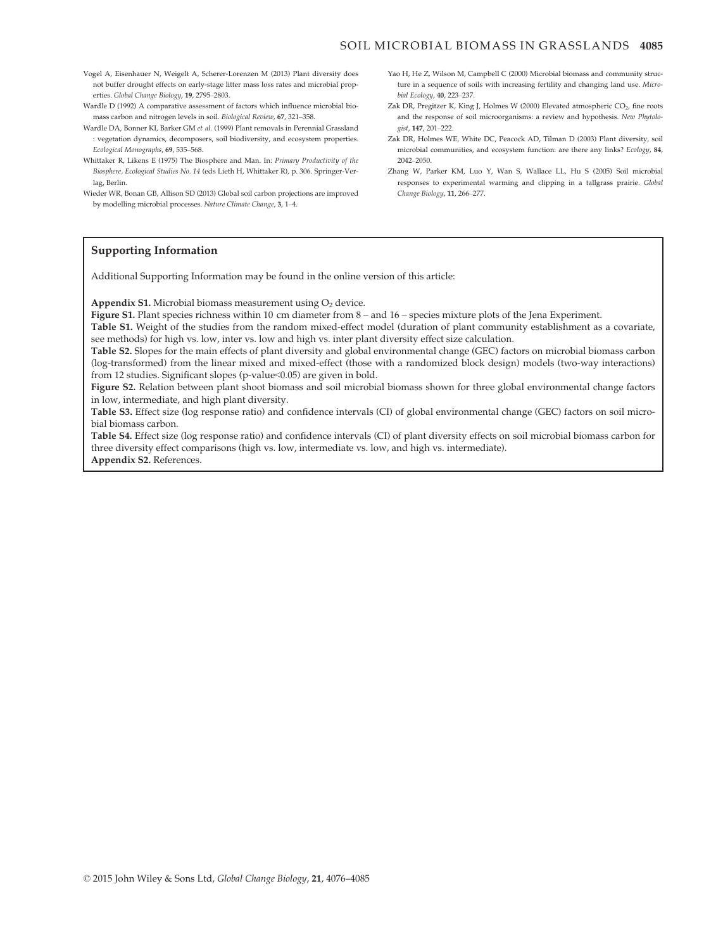- Vogel A, Eisenhauer N, Weigelt A, Scherer-Lorenzen M (2013) Plant diversity does not buffer drought effects on early-stage litter mass loss rates and microbial properties. Global Change Biology, 19, 2795–2803.
- Wardle D (1992) A comparative assessment of factors which influence microbial biomass carbon and nitrogen levels in soil. Biological Review, 67, 321–358.
- Wardle DA, Bonner KI, Barker GM et al. (1999) Plant removals in Perennial Grassland : vegetation dynamics, decomposers, soil biodiversity, and ecosystem properties. Ecological Monographs, 69, 535–568.
- Whittaker R, Likens E (1975) The Biosphere and Man. In: Primary Productivity of the Biosphere, Ecological Studies No. 14 (eds Lieth H, Whittaker R), p. 306. Springer-Verlag, Berlin.
- Wieder WR, Bonan GB, Allison SD (2013) Global soil carbon projections are improved by modelling microbial processes. Nature Climate Change, 3, 1–4.
- Yao H, He Z, Wilson M, Campbell C (2000) Microbial biomass and community structure in a sequence of soils with increasing fertility and changing land use. Microbial Ecology, 40, 223–237.
- Zak DR, Pregitzer K, King J, Holmes W (2000) Elevated atmospheric  $CO<sub>2</sub>$ , fine roots and the response of soil microorganisms: a review and hypothesis. New Phytologist, 147, 201–222.
- Zak DR, Holmes WE, White DC, Peacock AD, Tilman D (2003) Plant diversity, soil microbial communities, and ecosystem function: are there any links? Ecology, 84, 2042–2050.
- Zhang W, Parker KM, Luo Y, Wan S, Wallace LL, Hu S (2005) Soil microbial responses to experimental warming and clipping in a tallgrass prairie. Global Change Biology, 11, 266–277.

#### Supporting Information

Additional Supporting Information may be found in the online version of this article:

Appendix S1. Microbial biomass measurement using  $O<sub>2</sub>$  device.

Figure S1. Plant species richness within 10 cm diameter from 8 – and 16 – species mixture plots of the Jena Experiment.

Table S1. Weight of the studies from the random mixed-effect model (duration of plant community establishment as a covariate, see methods) for high vs. low, inter vs. low and high vs. inter plant diversity effect size calculation.

Table S2. Slopes for the main effects of plant diversity and global environmental change (GEC) factors on microbial biomass carbon (log-transformed) from the linear mixed and mixed-effect (those with a randomized block design) models (two-way interactions) from 12 studies. Significant slopes (p-value<0.05) are given in bold.

Figure S2. Relation between plant shoot biomass and soil microbial biomass shown for three global environmental change factors in low, intermediate, and high plant diversity.

Table S3. Effect size (log response ratio) and confidence intervals (CI) of global environmental change (GEC) factors on soil microbial biomass carbon.

Table S4. Effect size (log response ratio) and confidence intervals (CI) of plant diversity effects on soil microbial biomass carbon for three diversity effect comparisons (high vs. low, intermediate vs. low, and high vs. intermediate). Appendix S2. References.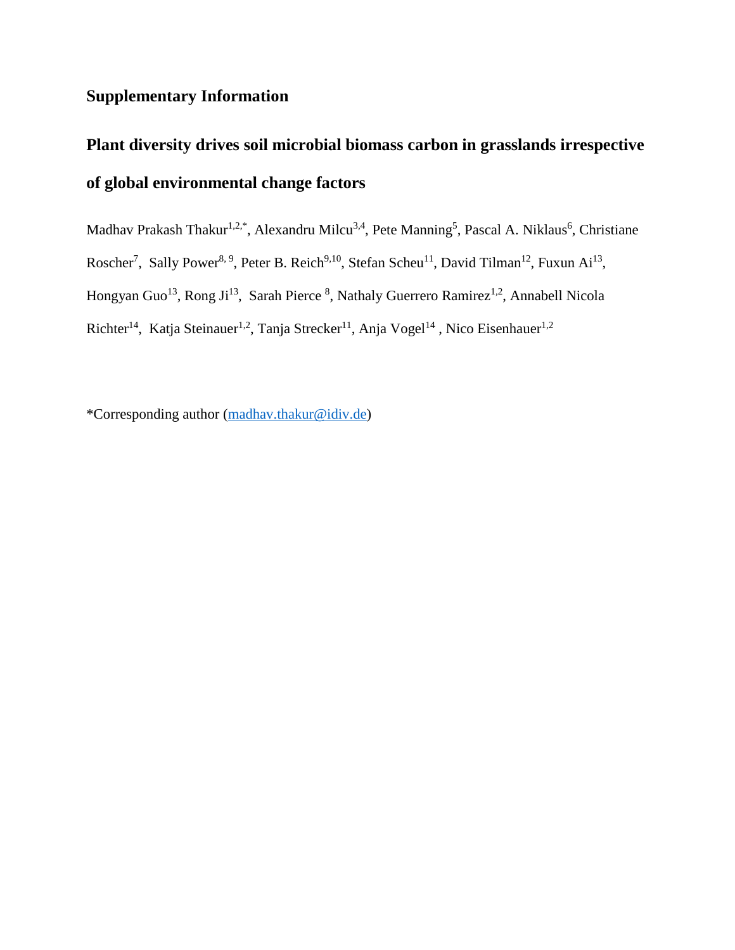## **Supplementary Information**

# **Plant diversity drives soil microbial biomass carbon in grasslands irrespective of global environmental change factors**

Madhav Prakash Thakur<sup>1,2,\*</sup>, Alexandru Milcu<sup>3,4</sup>, Pete Manning<sup>5</sup>, Pascal A. Niklaus<sup>6</sup>, Christiane Roscher<sup>7</sup>, Sally Power<sup>8, 9</sup>, Peter B. Reich<sup>9, 10</sup>, Stefan Scheu<sup>11</sup>, David Tilman<sup>12</sup>, Fuxun Ai<sup>13</sup>, Hongyan Guo<sup>13</sup>, Rong Ji<sup>13</sup>, Sarah Pierce <sup>8</sup>, Nathaly Guerrero Ramirez<sup>1,2</sup>, Annabell Nicola Richter<sup>14</sup>, Katja Steinauer<sup>1,2</sup>, Tanja Strecker<sup>11</sup>, Anja Vogel<sup>14</sup>, Nico Eisenhauer<sup>1,2</sup>

\*Corresponding author [\(madhav.thakur@idiv.de\)](mailto:madhav.thakur@idiv.de)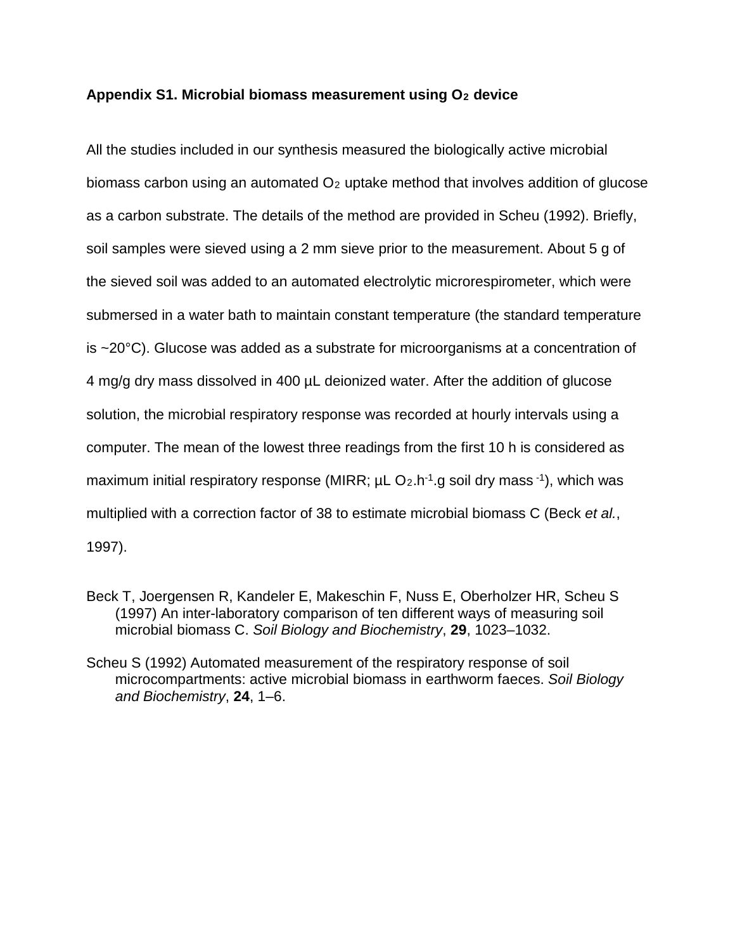### Appendix S1. Microbial biomass measurement using O<sub>2</sub> device

All the studies included in our synthesis measured the biologically active microbial biomass carbon using an automated  $O<sub>2</sub>$  uptake method that involves addition of glucose as a carbon substrate. The details of the method are provided in Scheu (1992). Briefly, soil samples were sieved using a 2 mm sieve prior to the measurement. About 5 g of the sieved soil was added to an automated electrolytic microrespirometer, which were submersed in a water bath to maintain constant temperature (the standard temperature is ~20°C). Glucose was added as a substrate for microorganisms at a concentration of 4 mg/g dry mass dissolved in 400 µL deionized water. After the addition of glucose solution, the microbial respiratory response was recorded at hourly intervals using a computer. The mean of the lowest three readings from the first 10 h is considered as maximum initial respiratory response (MIRR;  $\mu$ L O<sub>2</sub>.h<sup>-1</sup>.g soil dry mass <sup>-1</sup>), which was multiplied with a correction factor of 38 to estimate microbial biomass C (Beck *et al.*, 1997).

Beck T, Joergensen R, Kandeler E, Makeschin F, Nuss E, Oberholzer HR, Scheu S (1997) An inter-laboratory comparison of ten different ways of measuring soil microbial biomass C. *Soil Biology and Biochemistry*, **29**, 1023–1032.

Scheu S (1992) Automated measurement of the respiratory response of soil microcompartments: active microbial biomass in earthworm faeces. *Soil Biology and Biochemistry*, **24**, 1–6.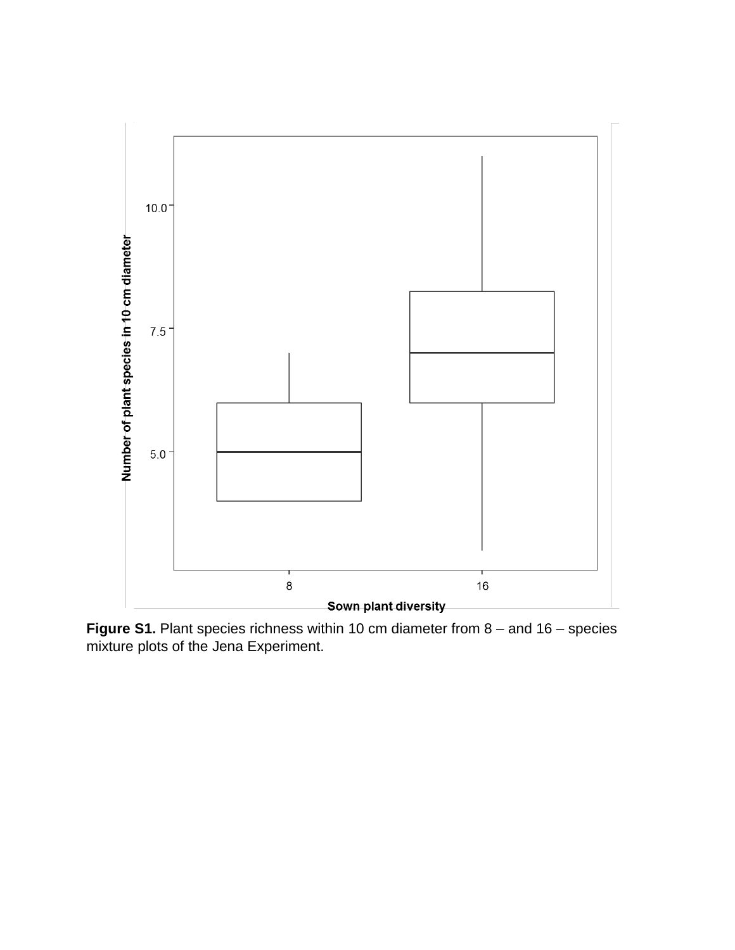

**Figure S1.** Plant species richness within 10 cm diameter from 8 – and 16 – species mixture plots of the Jena Experiment.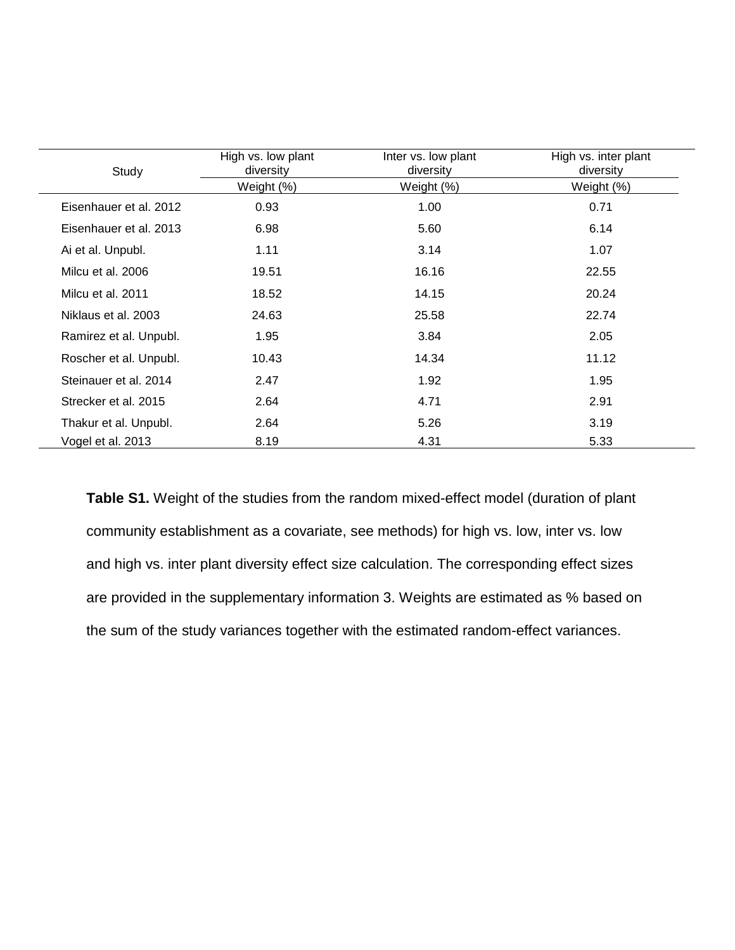| Study                  | High vs. low plant<br>diversity | Inter vs. low plant<br>diversity | High vs. inter plant<br>diversity |
|------------------------|---------------------------------|----------------------------------|-----------------------------------|
|                        | Weight (%)                      | Weight (%)                       | Weight (%)                        |
| Eisenhauer et al. 2012 | 0.93                            | 1.00                             | 0.71                              |
| Eisenhauer et al. 2013 | 6.98                            | 5.60                             | 6.14                              |
| Ai et al. Unpubl.      | 1.11                            | 3.14                             | 1.07                              |
| Milcu et al. 2006      | 19.51                           | 16.16                            | 22.55                             |
| Milcu et al. 2011      | 18.52                           | 14.15                            | 20.24                             |
| Niklaus et al. 2003    | 24.63                           | 25.58                            | 22.74                             |
| Ramirez et al. Unpubl. | 1.95                            | 3.84                             | 2.05                              |
| Roscher et al. Unpubl. | 10.43                           | 14.34                            | 11.12                             |
| Steinauer et al. 2014  | 2.47                            | 1.92                             | 1.95                              |
| Strecker et al. 2015   | 2.64                            | 4.71                             | 2.91                              |
| Thakur et al. Unpubl.  | 2.64                            | 5.26                             | 3.19                              |
| Vogel et al. 2013      | 8.19                            | 4.31                             | 5.33                              |

**Table S1.** Weight of the studies from the random mixed-effect model (duration of plant community establishment as a covariate, see methods) for high vs. low, inter vs. low and high vs. inter plant diversity effect size calculation. The corresponding effect sizes are provided in the supplementary information 3. Weights are estimated as % based on the sum of the study variances together with the estimated random-effect variances.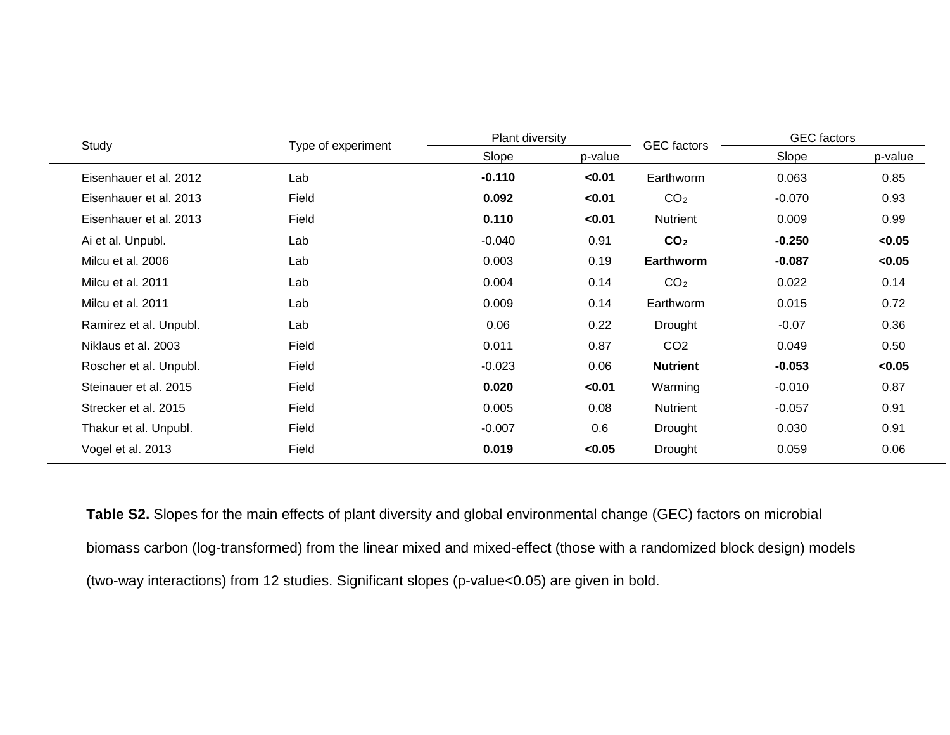| Study                  | Type of experiment | Plant diversity |         | <b>GEC</b> factors | <b>GEC</b> factors |         |
|------------------------|--------------------|-----------------|---------|--------------------|--------------------|---------|
|                        |                    | Slope           | p-value |                    | Slope              | p-value |
| Eisenhauer et al. 2012 | Lab                | $-0.110$        | < 0.01  | Earthworm          | 0.063              | 0.85    |
| Eisenhauer et al. 2013 | Field              | 0.092           | < 0.01  | CO <sub>2</sub>    | $-0.070$           | 0.93    |
| Eisenhauer et al. 2013 | Field              | 0.110           | < 0.01  | Nutrient           | 0.009              | 0.99    |
| Ai et al. Unpubl.      | Lab                | $-0.040$        | 0.91    | CO <sub>2</sub>    | $-0.250$           | < 0.05  |
| Milcu et al. 2006      | Lab                | 0.003           | 0.19    | <b>Earthworm</b>   | $-0.087$           | < 0.05  |
| Milcu et al. 2011      | Lab                | 0.004           | 0.14    | CO <sub>2</sub>    | 0.022              | 0.14    |
| Milcu et al. 2011      | Lab                | 0.009           | 0.14    | Earthworm          | 0.015              | 0.72    |
| Ramirez et al. Unpubl. | Lab                | 0.06            | 0.22    | Drought            | $-0.07$            | 0.36    |
| Niklaus et al. 2003    | Field              | 0.011           | 0.87    | CO <sub>2</sub>    | 0.049              | 0.50    |
| Roscher et al. Unpubl. | Field              | $-0.023$        | 0.06    | <b>Nutrient</b>    | $-0.053$           | <0.05   |
| Steinauer et al. 2015  | Field              | 0.020           | < 0.01  | Warming            | $-0.010$           | 0.87    |
| Strecker et al. 2015   | Field              | 0.005           | 0.08    | Nutrient           | $-0.057$           | 0.91    |
| Thakur et al. Unpubl.  | Field              | $-0.007$        | 0.6     | Drought            | 0.030              | 0.91    |
| Vogel et al. 2013      | Field              | 0.019           | < 0.05  | Drought            | 0.059              | 0.06    |

**Table S2.** Slopes for the main effects of plant diversity and global environmental change (GEC) factors on microbial biomass carbon (log-transformed) from the linear mixed and mixed-effect (those with a randomized block design) models (two-way interactions) from 12 studies. Significant slopes (p-value<0.05) are given in bold.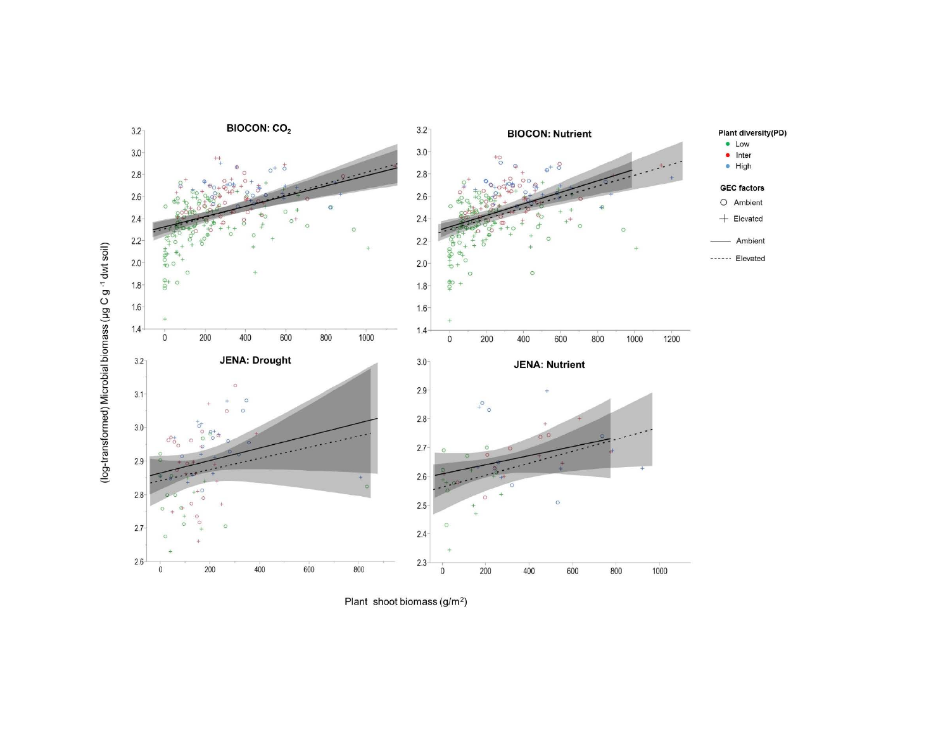

Plant shoot biomass (g/m<sup>2</sup>)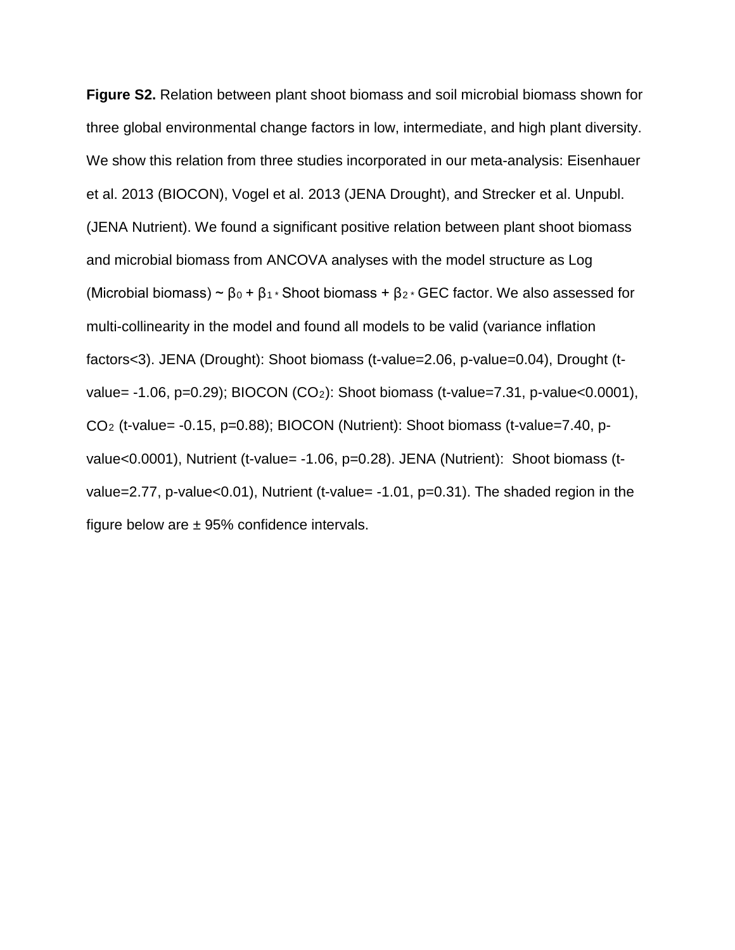**Figure S2.** Relation between plant shoot biomass and soil microbial biomass shown for three global environmental change factors in low, intermediate, and high plant diversity. We show this relation from three studies incorporated in our meta-analysis: Eisenhauer et al. 2013 (BIOCON), Vogel et al. 2013 (JENA Drought), and Strecker et al. Unpubl. (JENA Nutrient). We found a significant positive relation between plant shoot biomass and microbial biomass from ANCOVA analyses with the model structure as Log (Microbial biomass) ~  $β_0 + β_1 *$  Shoot biomass +  $β_2 *$  GEC factor. We also assessed for multi-collinearity in the model and found all models to be valid (variance inflation factors<3). JENA (Drought): Shoot biomass (t-value=2.06, p-value=0.04), Drought (tvalue=  $-1.06$ , p=0.29); BIOCON (CO<sub>2</sub>): Shoot biomass (t-value=7.31, p-value<0.0001),  $CO<sub>2</sub>$  (t-value= -0.15, p=0.88); BIOCON (Nutrient): Shoot biomass (t-value=7.40, pvalue<0.0001), Nutrient (t-value= -1.06, p=0.28). JENA (Nutrient): Shoot biomass (tvalue=2.77, p-value<0.01), Nutrient (t-value= -1.01, p=0.31). The shaded region in the figure below are  $\pm$  95% confidence intervals.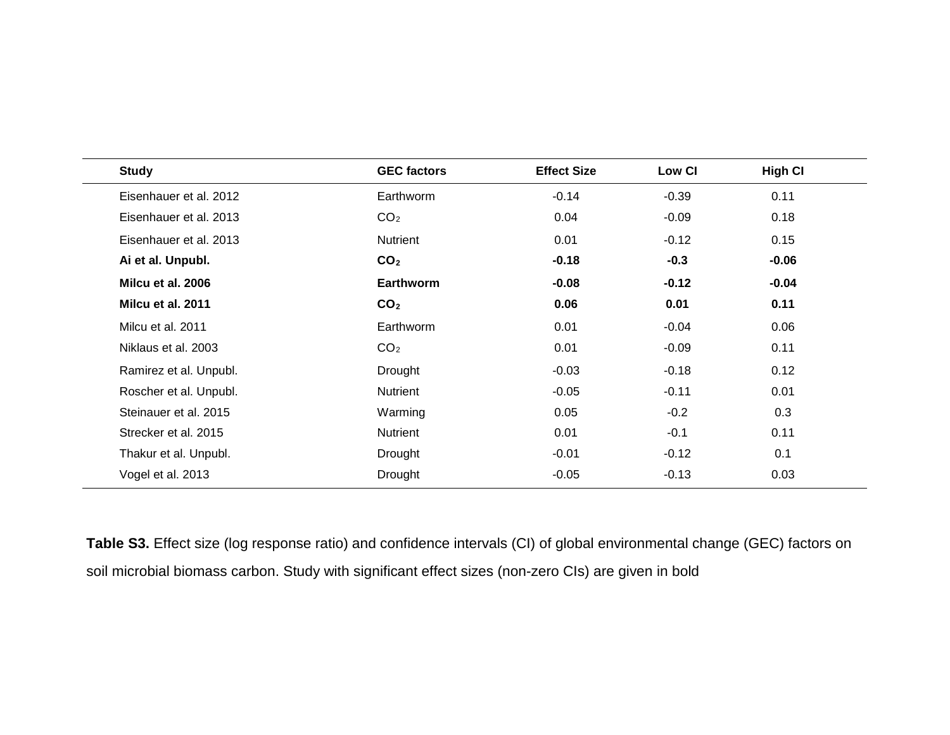| <b>Study</b>           | <b>GEC factors</b> | <b>Effect Size</b> | Low CI  | <b>High CI</b> |
|------------------------|--------------------|--------------------|---------|----------------|
| Eisenhauer et al. 2012 | Earthworm          | $-0.14$            | $-0.39$ | 0.11           |
| Eisenhauer et al. 2013 | CO <sub>2</sub>    | 0.04               | $-0.09$ | 0.18           |
| Eisenhauer et al. 2013 | Nutrient           | 0.01               | $-0.12$ | 0.15           |
| Ai et al. Unpubl.      | CO <sub>2</sub>    | $-0.18$            | $-0.3$  | $-0.06$        |
| Milcu et al. 2006      | <b>Earthworm</b>   | $-0.08$            | $-0.12$ | $-0.04$        |
| Milcu et al. 2011      | CO <sub>2</sub>    | 0.06               | 0.01    | 0.11           |
| Milcu et al. 2011      | Earthworm          | 0.01               | $-0.04$ | 0.06           |
| Niklaus et al. 2003    | CO <sub>2</sub>    | 0.01               | $-0.09$ | 0.11           |
| Ramirez et al. Unpubl. | <b>Drought</b>     | $-0.03$            | $-0.18$ | 0.12           |
| Roscher et al. Unpubl. | Nutrient           | $-0.05$            | $-0.11$ | 0.01           |
| Steinauer et al. 2015  | Warming            | 0.05               | $-0.2$  | 0.3            |
| Strecker et al. 2015   | Nutrient           | 0.01               | $-0.1$  | 0.11           |
| Thakur et al. Unpubl.  | Drought            | $-0.01$            | $-0.12$ | 0.1            |
| Vogel et al. 2013      | <b>Drought</b>     | $-0.05$            | $-0.13$ | 0.03           |

**Table S3.** Effect size (log response ratio) and confidence intervals (CI) of global environmental change (GEC) factors on soil microbial biomass carbon. Study with significant effect sizes (non-zero CIs) are given in bold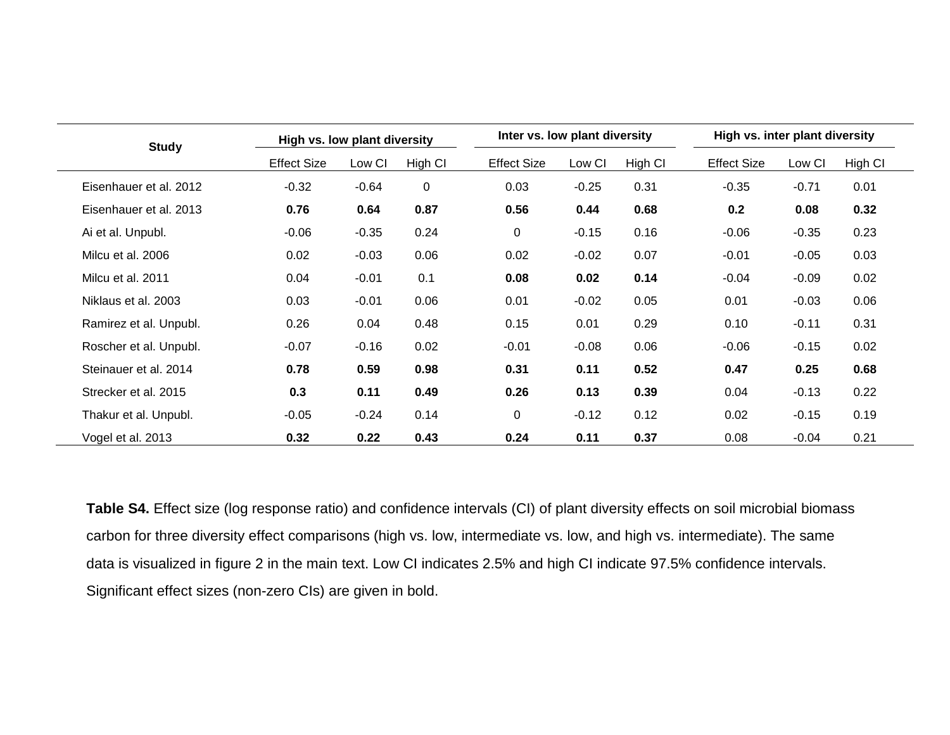| <b>Study</b>           | High vs. low plant diversity |         | Inter vs. low plant diversity |                    |         | High vs. inter plant diversity |                    |         |         |  |
|------------------------|------------------------------|---------|-------------------------------|--------------------|---------|--------------------------------|--------------------|---------|---------|--|
|                        | <b>Effect Size</b>           | Low CI  | High CI                       | <b>Effect Size</b> | Low CI  | High CI                        | <b>Effect Size</b> | Low CI  | High CI |  |
| Eisenhauer et al. 2012 | $-0.32$                      | $-0.64$ | $\mathbf 0$                   | 0.03               | $-0.25$ | 0.31                           | $-0.35$            | $-0.71$ | 0.01    |  |
| Eisenhauer et al. 2013 | 0.76                         | 0.64    | 0.87                          | 0.56               | 0.44    | 0.68                           | 0.2                | 0.08    | 0.32    |  |
| Ai et al. Unpubl.      | $-0.06$                      | $-0.35$ | 0.24                          | 0                  | $-0.15$ | 0.16                           | $-0.06$            | $-0.35$ | 0.23    |  |
| Milcu et al. 2006      | 0.02                         | $-0.03$ | 0.06                          | 0.02               | $-0.02$ | 0.07                           | $-0.01$            | $-0.05$ | 0.03    |  |
| Milcu et al. 2011      | 0.04                         | $-0.01$ | 0.1                           | 0.08               | 0.02    | 0.14                           | $-0.04$            | $-0.09$ | 0.02    |  |
| Niklaus et al. 2003    | 0.03                         | $-0.01$ | 0.06                          | 0.01               | $-0.02$ | 0.05                           | 0.01               | $-0.03$ | 0.06    |  |
| Ramirez et al. Unpubl. | 0.26                         | 0.04    | 0.48                          | 0.15               | 0.01    | 0.29                           | 0.10               | $-0.11$ | 0.31    |  |
| Roscher et al. Unpubl. | $-0.07$                      | $-0.16$ | 0.02                          | $-0.01$            | $-0.08$ | 0.06                           | $-0.06$            | $-0.15$ | 0.02    |  |
| Steinauer et al. 2014  | 0.78                         | 0.59    | 0.98                          | 0.31               | 0.11    | 0.52                           | 0.47               | 0.25    | 0.68    |  |
| Strecker et al. 2015   | 0.3                          | 0.11    | 0.49                          | 0.26               | 0.13    | 0.39                           | 0.04               | $-0.13$ | 0.22    |  |
| Thakur et al. Unpubl.  | $-0.05$                      | $-0.24$ | 0.14                          | 0                  | $-0.12$ | 0.12                           | 0.02               | $-0.15$ | 0.19    |  |
| Vogel et al. 2013      | 0.32                         | 0.22    | 0.43                          | 0.24               | 0.11    | 0.37                           | 0.08               | $-0.04$ | 0.21    |  |

**Table S4.** Effect size (log response ratio) and confidence intervals (CI) of plant diversity effects on soil microbial biomass carbon for three diversity effect comparisons (high vs. low, intermediate vs. low, and high vs. intermediate). The same data is visualized in figure 2 in the main text. Low CI indicates 2.5% and high CI indicate 97.5% confidence intervals. Significant effect sizes (non-zero CIs) are given in bold.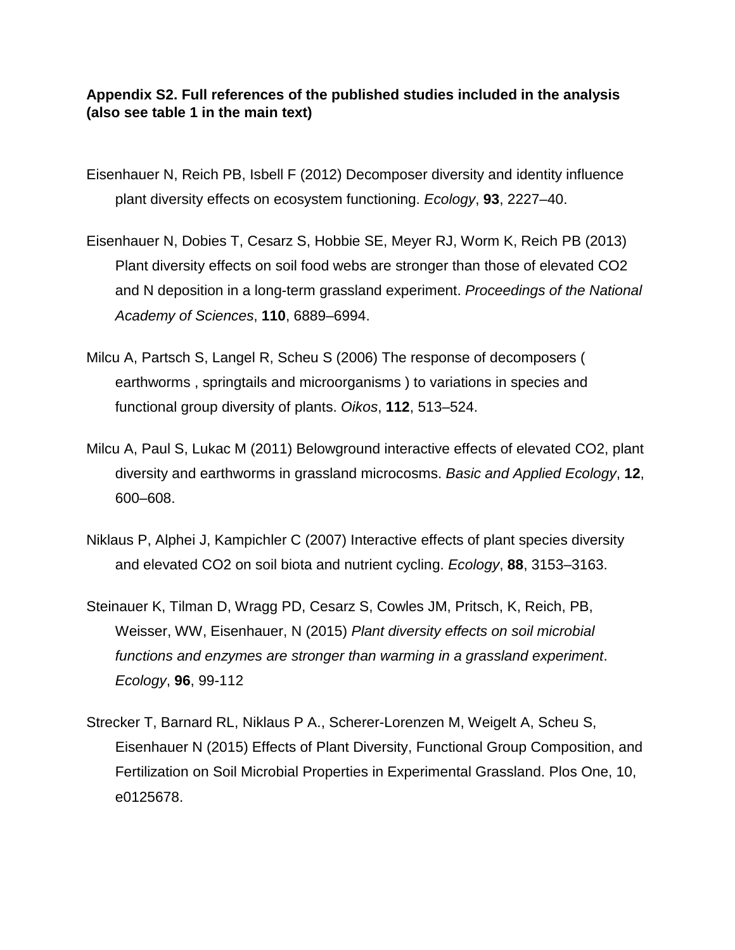## **Appendix S2. Full references of the published studies included in the analysis (also see table 1 in the main text)**

- Eisenhauer N, Reich PB, Isbell F (2012) Decomposer diversity and identity influence plant diversity effects on ecosystem functioning. *Ecology*, **93**, 2227–40.
- Eisenhauer N, Dobies T, Cesarz S, Hobbie SE, Meyer RJ, Worm K, Reich PB (2013) Plant diversity effects on soil food webs are stronger than those of elevated CO2 and N deposition in a long-term grassland experiment. *Proceedings of the National Academy of Sciences*, **110**, 6889–6994.
- Milcu A, Partsch S, Langel R, Scheu S (2006) The response of decomposers ( earthworms , springtails and microorganisms ) to variations in species and functional group diversity of plants. *Oikos*, **112**, 513–524.
- Milcu A, Paul S, Lukac M (2011) Belowground interactive effects of elevated CO2, plant diversity and earthworms in grassland microcosms. *Basic and Applied Ecology*, **12**, 600–608.
- Niklaus P, Alphei J, Kampichler C (2007) Interactive effects of plant species diversity and elevated CO2 on soil biota and nutrient cycling. *Ecology*, **88**, 3153–3163.
- Steinauer K, Tilman D, Wragg PD, Cesarz S, Cowles JM, Pritsch, K, Reich, PB, Weisser, WW, Eisenhauer, N (2015) *Plant diversity effects on soil microbial functions and enzymes are stronger than warming in a grassland experiment*. *Ecology*, **96**, 99-112
- Strecker T, Barnard RL, Niklaus P A., Scherer-Lorenzen M, Weigelt A, Scheu S, Eisenhauer N (2015) Effects of Plant Diversity, Functional Group Composition, and Fertilization on Soil Microbial Properties in Experimental Grassland. Plos One, 10, e0125678.